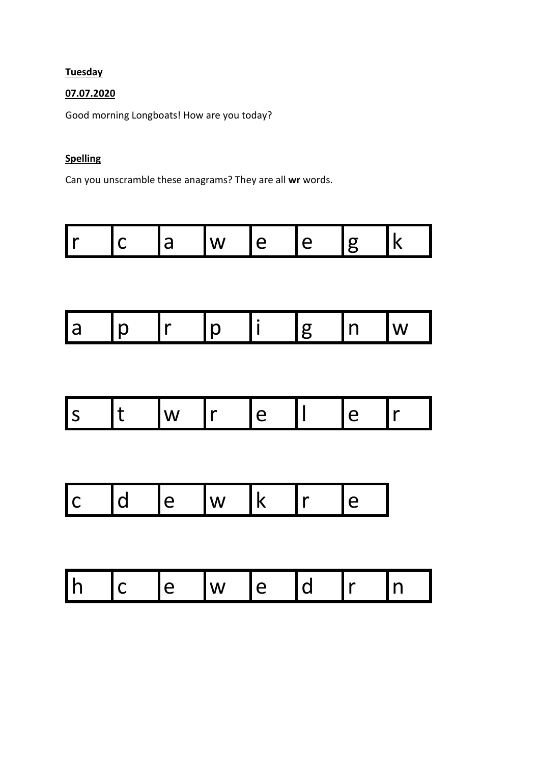## **Tuesday**

## 07.07.2020

Good morning Longboats! How are you today?

# **Spelling**

Can you unscramble these anagrams? They are all wr words.